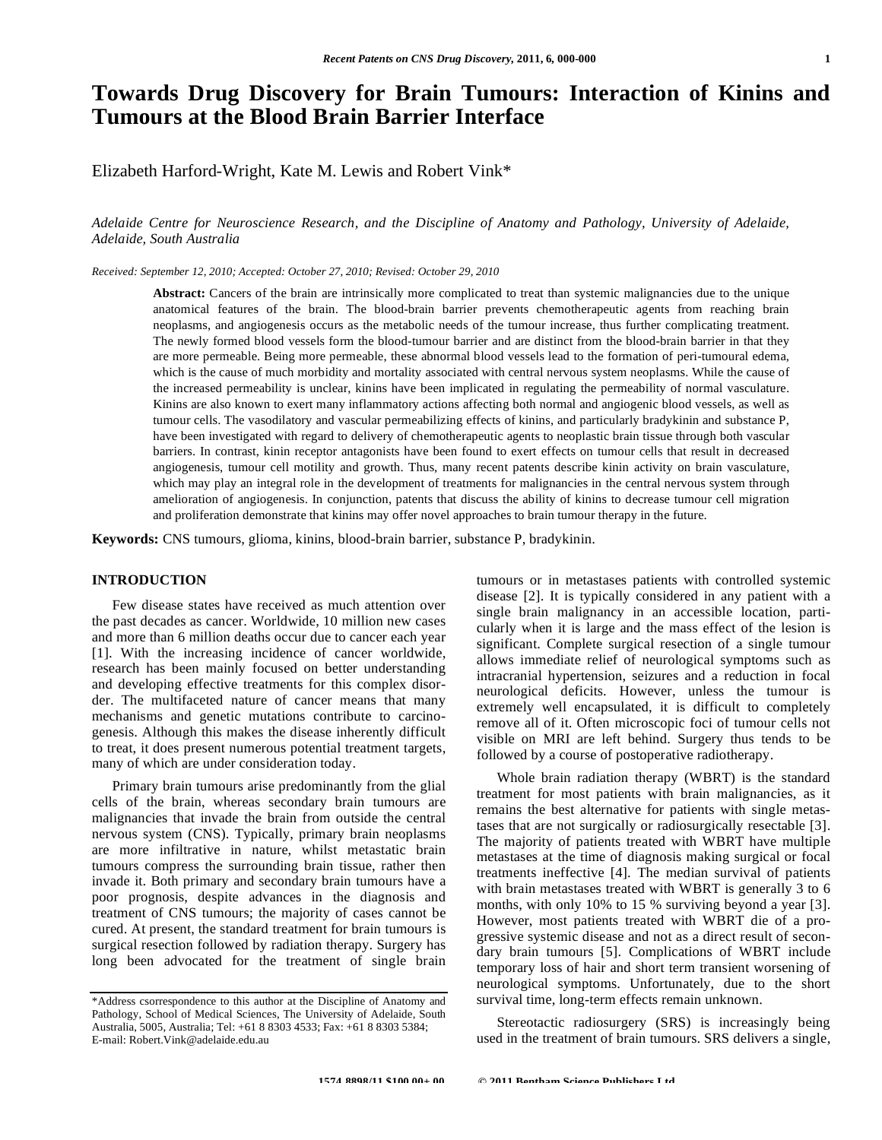# **Towards Drug Discovery for Brain Tumours: Interaction of Kinins and Tumours at the Blood Brain Barrier Interface**

Elizabeth Harford-Wright, Kate M. Lewis and Robert Vink\*

*Adelaide Centre for Neuroscience Research, and the Discipline of Anatomy and Pathology, University of Adelaide, Adelaide, South Australia* 

*Received: September 12, 2010; Accepted: October 27, 2010; Revised: October 29, 2010*

Abstract: Cancers of the brain are intrinsically more complicated to treat than systemic malignancies due to the unique anatomical features of the brain. The blood-brain barrier prevents chemotherapeutic agents from reaching brain neoplasms, and angiogenesis occurs as the metabolic needs of the tumour increase, thus further complicating treatment. The newly formed blood vessels form the blood-tumour barrier and are distinct from the blood-brain barrier in that they are more permeable. Being more permeable, these abnormal blood vessels lead to the formation of peri-tumoural edema, which is the cause of much morbidity and mortality associated with central nervous system neoplasms. While the cause of the increased permeability is unclear, kinins have been implicated in regulating the permeability of normal vasculature. Kinins are also known to exert many inflammatory actions affecting both normal and angiogenic blood vessels, as well as tumour cells. The vasodilatory and vascular permeabilizing effects of kinins, and particularly bradykinin and substance P, have been investigated with regard to delivery of chemotherapeutic agents to neoplastic brain tissue through both vascular barriers. In contrast, kinin receptor antagonists have been found to exert effects on tumour cells that result in decreased angiogenesis, tumour cell motility and growth. Thus, many recent patents describe kinin activity on brain vasculature, which may play an integral role in the development of treatments for malignancies in the central nervous system through amelioration of angiogenesis. In conjunction, patents that discuss the ability of kinins to decrease tumour cell migration and proliferation demonstrate that kinins may offer novel approaches to brain tumour therapy in the future.

**Keywords:** CNS tumours, glioma, kinins, blood-brain barrier, substance P, bradykinin.

#### **INTRODUCTION**

 Few disease states have received as much attention over the past decades as cancer. Worldwide, 10 million new cases and more than 6 million deaths occur due to cancer each year [1]. With the increasing incidence of cancer worldwide, research has been mainly focused on better understanding and developing effective treatments for this complex disorder. The multifaceted nature of cancer means that many mechanisms and genetic mutations contribute to carcinogenesis. Although this makes the disease inherently difficult to treat, it does present numerous potential treatment targets, many of which are under consideration today.

 Primary brain tumours arise predominantly from the glial cells of the brain, whereas secondary brain tumours are malignancies that invade the brain from outside the central nervous system (CNS). Typically, primary brain neoplasms are more infiltrative in nature, whilst metastatic brain tumours compress the surrounding brain tissue, rather then invade it. Both primary and secondary brain tumours have a poor prognosis, despite advances in the diagnosis and treatment of CNS tumours; the majority of cases cannot be cured. At present, the standard treatment for brain tumours is surgical resection followed by radiation therapy. Surgery has long been advocated for the treatment of single brain

tumours or in metastases patients with controlled systemic disease [2]. It is typically considered in any patient with a single brain malignancy in an accessible location, particularly when it is large and the mass effect of the lesion is significant. Complete surgical resection of a single tumour allows immediate relief of neurological symptoms such as intracranial hypertension, seizures and a reduction in focal neurological deficits. However, unless the tumour is extremely well encapsulated, it is difficult to completely remove all of it. Often microscopic foci of tumour cells not visible on MRI are left behind. Surgery thus tends to be followed by a course of postoperative radiotherapy.

 Whole brain radiation therapy (WBRT) is the standard treatment for most patients with brain malignancies, as it remains the best alternative for patients with single metastases that are not surgically or radiosurgically resectable [3]. The majority of patients treated with WBRT have multiple metastases at the time of diagnosis making surgical or focal treatments ineffective [4]. The median survival of patients with brain metastases treated with WBRT is generally 3 to 6 months, with only 10% to 15 % surviving beyond a year [3]. However, most patients treated with WBRT die of a progressive systemic disease and not as a direct result of secondary brain tumours [5]. Complications of WBRT include temporary loss of hair and short term transient worsening of neurological symptoms. Unfortunately, due to the short survival time, long-term effects remain unknown.

 Stereotactic radiosurgery (SRS) is increasingly being used in the treatment of brain tumours. SRS delivers a single,

<sup>\*</sup>Address csorrespondence to this author at the Discipline of Anatomy and Pathology, School of Medical Sciences, The University of Adelaide, South Australia, 5005, Australia; Tel: +61 8 8303 4533; Fax: +61 8 8303 5384; E-mail: Robert.Vink@adelaide.edu.au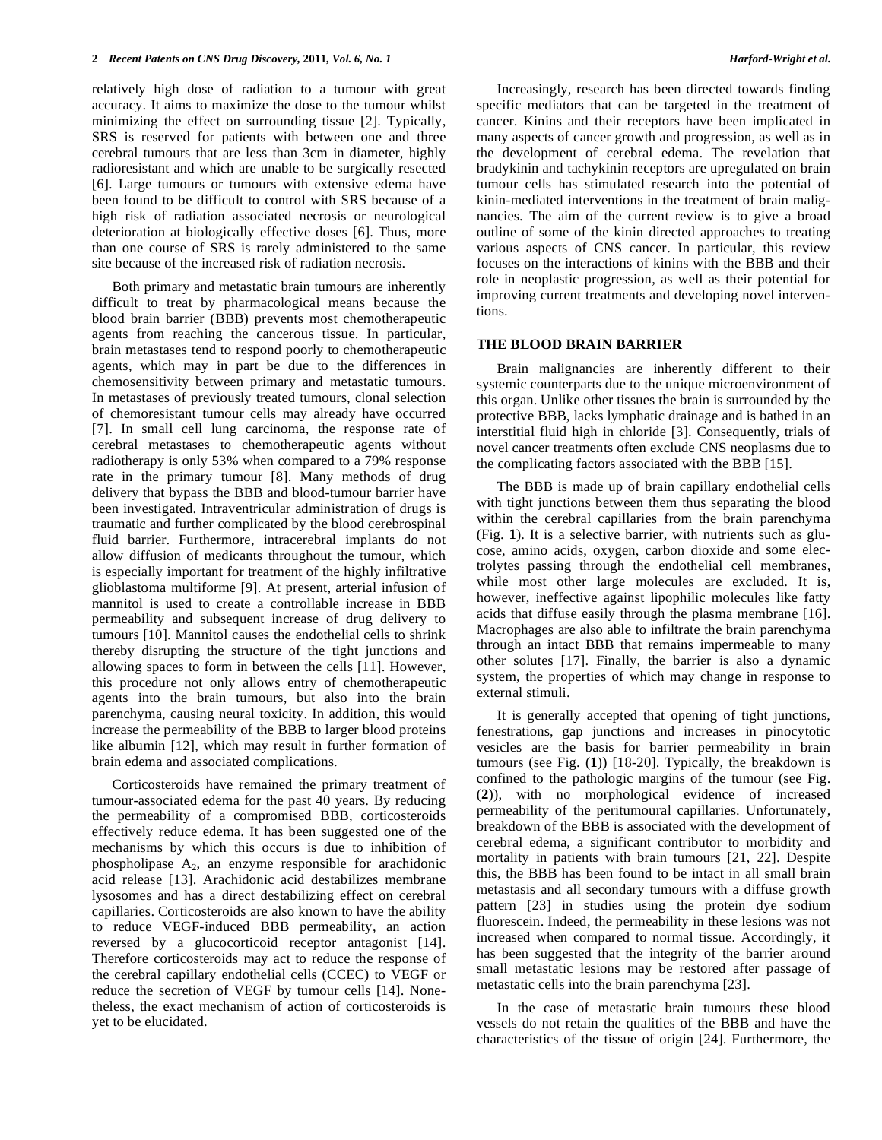relatively high dose of radiation to a tumour with great accuracy. It aims to maximize the dose to the tumour whilst minimizing the effect on surrounding tissue [2]. Typically, SRS is reserved for patients with between one and three cerebral tumours that are less than 3cm in diameter, highly radioresistant and which are unable to be surgically resected [6]. Large tumours or tumours with extensive edema have been found to be difficult to control with SRS because of a high risk of radiation associated necrosis or neurological deterioration at biologically effective doses [6]. Thus, more than one course of SRS is rarely administered to the same site because of the increased risk of radiation necrosis.

 Both primary and metastatic brain tumours are inherently difficult to treat by pharmacological means because the blood brain barrier (BBB) prevents most chemotherapeutic agents from reaching the cancerous tissue. In particular, brain metastases tend to respond poorly to chemotherapeutic agents, which may in part be due to the differences in chemosensitivity between primary and metastatic tumours. In metastases of previously treated tumours, clonal selection of chemoresistant tumour cells may already have occurred [7]. In small cell lung carcinoma, the response rate of cerebral metastases to chemotherapeutic agents without radiotherapy is only 53% when compared to a 79% response rate in the primary tumour [8]. Many methods of drug delivery that bypass the BBB and blood-tumour barrier have been investigated. Intraventricular administration of drugs is traumatic and further complicated by the blood cerebrospinal fluid barrier. Furthermore, intracerebral implants do not allow diffusion of medicants throughout the tumour, which is especially important for treatment of the highly infiltrative glioblastoma multiforme [9]. At present, arterial infusion of mannitol is used to create a controllable increase in BBB permeability and subsequent increase of drug delivery to tumours [10]. Mannitol causes the endothelial cells to shrink thereby disrupting the structure of the tight junctions and allowing spaces to form in between the cells [11]. However, this procedure not only allows entry of chemotherapeutic agents into the brain tumours, but also into the brain parenchyma, causing neural toxicity. In addition, this would increase the permeability of the BBB to larger blood proteins like albumin [12], which may result in further formation of brain edema and associated complications.

 Corticosteroids have remained the primary treatment of tumour-associated edema for the past 40 years. By reducing the permeability of a compromised BBB, corticosteroids effectively reduce edema. It has been suggested one of the mechanisms by which this occurs is due to inhibition of phospholipase  $A_2$ , an enzyme responsible for arachidonic acid release [13]. Arachidonic acid destabilizes membrane lysosomes and has a direct destabilizing effect on cerebral capillaries. Corticosteroids are also known to have the ability to reduce VEGF-induced BBB permeability, an action reversed by a glucocorticoid receptor antagonist [14]. Therefore corticosteroids may act to reduce the response of the cerebral capillary endothelial cells (CCEC) to VEGF or reduce the secretion of VEGF by tumour cells [14]. Nonetheless, the exact mechanism of action of corticosteroids is yet to be elucidated.

 Increasingly, research has been directed towards finding specific mediators that can be targeted in the treatment of cancer. Kinins and their receptors have been implicated in many aspects of cancer growth and progression, as well as in the development of cerebral edema. The revelation that bradykinin and tachykinin receptors are upregulated on brain tumour cells has stimulated research into the potential of kinin-mediated interventions in the treatment of brain malignancies. The aim of the current review is to give a broad outline of some of the kinin directed approaches to treating various aspects of CNS cancer. In particular, this review focuses on the interactions of kinins with the BBB and their role in neoplastic progression, as well as their potential for improving current treatments and developing novel interventions.

#### **THE BLOOD BRAIN BARRIER**

 Brain malignancies are inherently different to their systemic counterparts due to the unique microenvironment of this organ. Unlike other tissues the brain is surrounded by the protective BBB, lacks lymphatic drainage and is bathed in an interstitial fluid high in chloride [3]. Consequently, trials of novel cancer treatments often exclude CNS neoplasms due to the complicating factors associated with the BBB [15].

 The BBB is made up of brain capillary endothelial cells with tight junctions between them thus separating the blood within the cerebral capillaries from the brain parenchyma (Fig. **1**). It is a selective barrier, with nutrients such as glucose, amino acids, oxygen, carbon dioxide and some electrolytes passing through the endothelial cell membranes, while most other large molecules are excluded. It is, however, ineffective against lipophilic molecules like fatty acids that diffuse easily through the plasma membrane [16]. Macrophages are also able to infiltrate the brain parenchyma through an intact BBB that remains impermeable to many other solutes [17]. Finally, the barrier is also a dynamic system, the properties of which may change in response to external stimuli.

 It is generally accepted that opening of tight junctions, fenestrations, gap junctions and increases in pinocytotic vesicles are the basis for barrier permeability in brain tumours (see Fig. (**1**)) [18-20]. Typically, the breakdown is confined to the pathologic margins of the tumour (see Fig. (**2**)), with no morphological evidence of increased permeability of the peritumoural capillaries. Unfortunately, breakdown of the BBB is associated with the development of cerebral edema, a significant contributor to morbidity and mortality in patients with brain tumours [21, 22]. Despite this, the BBB has been found to be intact in all small brain metastasis and all secondary tumours with a diffuse growth pattern [23] in studies using the protein dye sodium fluorescein. Indeed, the permeability in these lesions was not increased when compared to normal tissue. Accordingly, it has been suggested that the integrity of the barrier around small metastatic lesions may be restored after passage of metastatic cells into the brain parenchyma [23].

 In the case of metastatic brain tumours these blood vessels do not retain the qualities of the BBB and have the characteristics of the tissue of origin [24]. Furthermore, the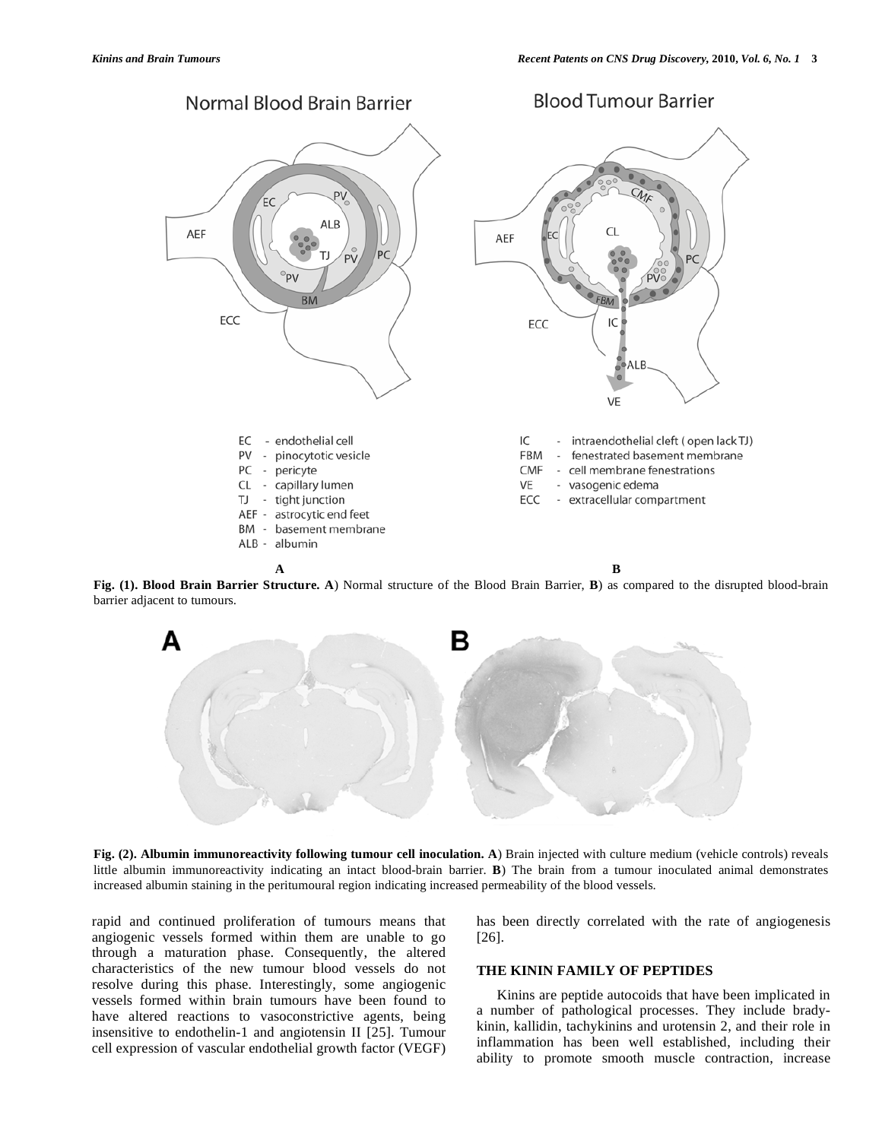

**Fig. (1). Blood Brain Barrier Structure. A**) Normal structure of the Blood Brain Barrier, **B**) as compared to the disrupted blood-brain barrier adjacent to tumours.



**Fig. (2). Albumin immunoreactivity following tumour cell inoculation. A**) Brain injected with culture medium (vehicle controls) reveals little albumin immunoreactivity indicating an intact blood-brain barrier. **B**) The brain from a tumour inoculated animal demonstrates increased albumin staining in the peritumoural region indicating increased permeability of the blood vessels.

rapid and continued proliferation of tumours means that angiogenic vessels formed within them are unable to go through a maturation phase. Consequently, the altered characteristics of the new tumour blood vessels do not resolve during this phase. Interestingly, some angiogenic vessels formed within brain tumours have been found to have altered reactions to vasoconstrictive agents, being insensitive to endothelin-1 and angiotensin II [25]. Tumour cell expression of vascular endothelial growth factor (VEGF) has been directly correlated with the rate of angiogenesis [26].

# **THE KININ FAMILY OF PEPTIDES**

 Kinins are peptide autocoids that have been implicated in a number of pathological processes. They include bradykinin, kallidin, tachykinins and urotensin 2, and their role in inflammation has been well established, including their ability to promote smooth muscle contraction, increase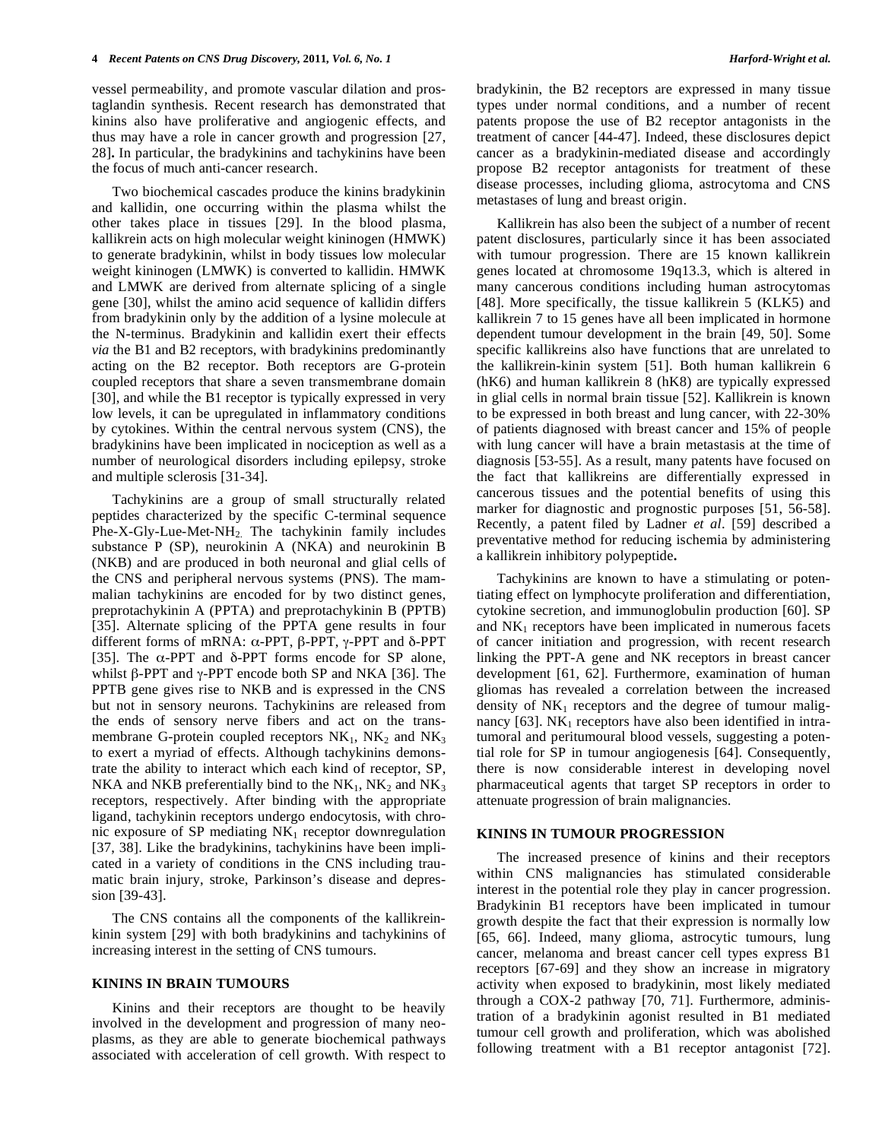vessel permeability, and promote vascular dilation and prostaglandin synthesis. Recent research has demonstrated that kinins also have proliferative and angiogenic effects, and thus may have a role in cancer growth and progression [27, 28]**.** In particular, the bradykinins and tachykinins have been the focus of much anti-cancer research.

 Two biochemical cascades produce the kinins bradykinin and kallidin, one occurring within the plasma whilst the other takes place in tissues [29]. In the blood plasma, kallikrein acts on high molecular weight kininogen (HMWK) to generate bradykinin, whilst in body tissues low molecular weight kininogen (LMWK) is converted to kallidin. HMWK and LMWK are derived from alternate splicing of a single gene [30], whilst the amino acid sequence of kallidin differs from bradykinin only by the addition of a lysine molecule at the N-terminus. Bradykinin and kallidin exert their effects *via* the B1 and B2 receptors, with bradykinins predominantly acting on the B2 receptor. Both receptors are G-protein coupled receptors that share a seven transmembrane domain [30], and while the B1 receptor is typically expressed in very low levels, it can be upregulated in inflammatory conditions by cytokines. Within the central nervous system (CNS), the bradykinins have been implicated in nociception as well as a number of neurological disorders including epilepsy, stroke and multiple sclerosis [31-34].

 Tachykinins are a group of small structurally related peptides characterized by the specific C-terminal sequence Phe-X-Gly-Lue-Met-NH2. The tachykinin family includes substance P (SP), neurokinin A (NKA) and neurokinin B (NKB) and are produced in both neuronal and glial cells of the CNS and peripheral nervous systems (PNS). The mammalian tachykinins are encoded for by two distinct genes, preprotachykinin A (PPTA) and preprotachykinin B (PPTB) [35]. Alternate splicing of the PPTA gene results in four different forms of mRNA:  $\alpha$ -PPT,  $\beta$ -PPT,  $\gamma$ -PPT and  $\delta$ -PPT [35]. The  $\alpha$ -PPT and  $\delta$ -PPT forms encode for SP alone, whilst  $\beta$ -PPT and  $\gamma$ -PPT encode both SP and NKA [36]. The PPTB gene gives rise to NKB and is expressed in the CNS but not in sensory neurons. Tachykinins are released from the ends of sensory nerve fibers and act on the transmembrane G-protein coupled receptors  $NK_1$ ,  $NK_2$  and  $NK_3$ to exert a myriad of effects. Although tachykinins demonstrate the ability to interact which each kind of receptor, SP, NKA and NKB preferentially bind to the  $NK_1$ ,  $NK_2$  and  $NK_3$ receptors, respectively. After binding with the appropriate ligand, tachykinin receptors undergo endocytosis, with chronic exposure of SP mediating  $NK_1$  receptor downregulation [37, 38]. Like the bradykinins, tachykinins have been implicated in a variety of conditions in the CNS including traumatic brain injury, stroke, Parkinson's disease and depression [39-43].

 The CNS contains all the components of the kallikreinkinin system [29] with both bradykinins and tachykinins of increasing interest in the setting of CNS tumours.

### **KININS IN BRAIN TUMOURS**

 Kinins and their receptors are thought to be heavily involved in the development and progression of many neoplasms, as they are able to generate biochemical pathways associated with acceleration of cell growth. With respect to

bradykinin, the B2 receptors are expressed in many tissue types under normal conditions, and a number of recent patents propose the use of B2 receptor antagonists in the treatment of cancer [44-47]. Indeed, these disclosures depict cancer as a bradykinin-mediated disease and accordingly propose B2 receptor antagonists for treatment of these disease processes, including glioma, astrocytoma and CNS metastases of lung and breast origin.

 Kallikrein has also been the subject of a number of recent patent disclosures, particularly since it has been associated with tumour progression. There are 15 known kallikrein genes located at chromosome 19q13.3, which is altered in many cancerous conditions including human astrocytomas [48]. More specifically, the tissue kallikrein 5 (KLK5) and kallikrein 7 to 15 genes have all been implicated in hormone dependent tumour development in the brain [49, 50]. Some specific kallikreins also have functions that are unrelated to the kallikrein-kinin system [51]. Both human kallikrein 6 (hK6) and human kallikrein 8 (hK8) are typically expressed in glial cells in normal brain tissue [52]. Kallikrein is known to be expressed in both breast and lung cancer, with 22-30% of patients diagnosed with breast cancer and 15% of people with lung cancer will have a brain metastasis at the time of diagnosis [53-55]. As a result, many patents have focused on the fact that kallikreins are differentially expressed in cancerous tissues and the potential benefits of using this marker for diagnostic and prognostic purposes [51, 56-58]. Recently, a patent filed by Ladner *et al*. [59] described a preventative method for reducing ischemia by administering a kallikrein inhibitory polypeptide**.**

 Tachykinins are known to have a stimulating or potentiating effect on lymphocyte proliferation and differentiation, cytokine secretion, and immunoglobulin production [60]. SP and  $NK<sub>1</sub>$  receptors have been implicated in numerous facets of cancer initiation and progression, with recent research linking the PPT-A gene and NK receptors in breast cancer development [61, 62]. Furthermore, examination of human gliomas has revealed a correlation between the increased density of  $NK_1$  receptors and the degree of tumour malignancy  $[63]$ . NK<sub>1</sub> receptors have also been identified in intratumoral and peritumoural blood vessels, suggesting a potential role for SP in tumour angiogenesis [64]. Consequently, there is now considerable interest in developing novel pharmaceutical agents that target SP receptors in order to attenuate progression of brain malignancies.

## **KININS IN TUMOUR PROGRESSION**

 The increased presence of kinins and their receptors within CNS malignancies has stimulated considerable interest in the potential role they play in cancer progression. Bradykinin B1 receptors have been implicated in tumour growth despite the fact that their expression is normally low [65, 66]. Indeed, many glioma, astrocytic tumours, lung cancer, melanoma and breast cancer cell types express B1 receptors [67-69] and they show an increase in migratory activity when exposed to bradykinin, most likely mediated through a COX-2 pathway [70, 71]. Furthermore, administration of a bradykinin agonist resulted in B1 mediated tumour cell growth and proliferation, which was abolished following treatment with a B1 receptor antagonist [72].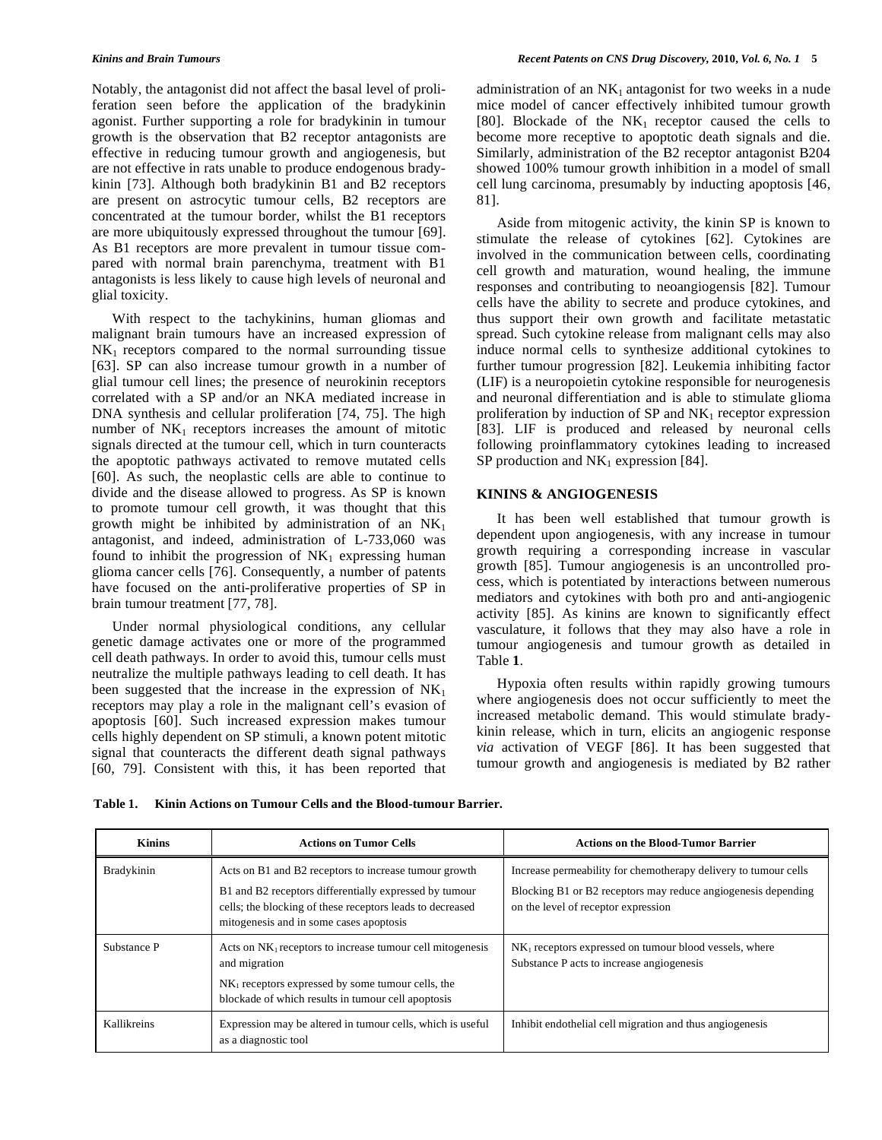Notably, the antagonist did not affect the basal level of proliferation seen before the application of the bradykinin agonist. Further supporting a role for bradykinin in tumour growth is the observation that B2 receptor antagonists are effective in reducing tumour growth and angiogenesis, but are not effective in rats unable to produce endogenous bradykinin [73]. Although both bradykinin B1 and B2 receptors are present on astrocytic tumour cells, B2 receptors are concentrated at the tumour border, whilst the B1 receptors are more ubiquitously expressed throughout the tumour [69]. As B1 receptors are more prevalent in tumour tissue compared with normal brain parenchyma, treatment with B1 antagonists is less likely to cause high levels of neuronal and glial toxicity.

 With respect to the tachykinins, human gliomas and malignant brain tumours have an increased expression of  $NK<sub>1</sub>$  receptors compared to the normal surrounding tissue [63]. SP can also increase tumour growth in a number of glial tumour cell lines; the presence of neurokinin receptors correlated with a SP and/or an NKA mediated increase in DNA synthesis and cellular proliferation [74, 75]. The high number of  $NK_1$  receptors increases the amount of mitotic signals directed at the tumour cell, which in turn counteracts the apoptotic pathways activated to remove mutated cells [60]. As such, the neoplastic cells are able to continue to divide and the disease allowed to progress. As SP is known to promote tumour cell growth, it was thought that this growth might be inhibited by administration of an  $NK_1$ antagonist, and indeed, administration of L-733,060 was found to inhibit the progression of  $NK_1$  expressing human glioma cancer cells [76]. Consequently, a number of patents have focused on the anti-proliferative properties of SP in brain tumour treatment [77, 78].

 Under normal physiological conditions, any cellular genetic damage activates one or more of the programmed cell death pathways. In order to avoid this, tumour cells must neutralize the multiple pathways leading to cell death. It has been suggested that the increase in the expression of  $NK<sub>1</sub>$ receptors may play a role in the malignant cell's evasion of apoptosis [60]. Such increased expression makes tumour cells highly dependent on SP stimuli, a known potent mitotic signal that counteracts the different death signal pathways [60, 79]. Consistent with this, it has been reported that

administration of an  $NK_1$  antagonist for two weeks in a nude mice model of cancer effectively inhibited tumour growth [80]. Blockade of the  $NK_1$  receptor caused the cells to become more receptive to apoptotic death signals and die. Similarly, administration of the B2 receptor antagonist B204 showed 100% tumour growth inhibition in a model of small cell lung carcinoma, presumably by inducting apoptosis [46, 81].

 Aside from mitogenic activity, the kinin SP is known to stimulate the release of cytokines [62]. Cytokines are involved in the communication between cells, coordinating cell growth and maturation, wound healing, the immune responses and contributing to neoangiogensis [82]. Tumour cells have the ability to secrete and produce cytokines, and thus support their own growth and facilitate metastatic spread. Such cytokine release from malignant cells may also induce normal cells to synthesize additional cytokines to further tumour progression [82]. Leukemia inhibiting factor (LIF) is a neuropoietin cytokine responsible for neurogenesis and neuronal differentiation and is able to stimulate glioma proliferation by induction of  $SP$  and  $NK_1$  receptor expression [83]. LIF is produced and released by neuronal cells following proinflammatory cytokines leading to increased SP production and  $NK_1$  expression [84].

# **KININS & ANGIOGENESIS**

 It has been well established that tumour growth is dependent upon angiogenesis, with any increase in tumour growth requiring a corresponding increase in vascular growth [85]. Tumour angiogenesis is an uncontrolled process, which is potentiated by interactions between numerous mediators and cytokines with both pro and anti-angiogenic activity [85]. As kinins are known to significantly effect vasculature, it follows that they may also have a role in tumour angiogenesis and tumour growth as detailed in Table **1**.

 Hypoxia often results within rapidly growing tumours where angiogenesis does not occur sufficiently to meet the increased metabolic demand. This would stimulate bradykinin release, which in turn, elicits an angiogenic response *via* activation of VEGF [86]. It has been suggested that tumour growth and angiogenesis is mediated by B2 rather

|  | Table 1. Kinin Actions on Tumour Cells and the Blood-tumour Barrier. |  |  |  |  |
|--|----------------------------------------------------------------------|--|--|--|--|
|--|----------------------------------------------------------------------|--|--|--|--|

| <b>Kinins</b> | <b>Actions on Tumor Cells</b>                                                                                                                                                                                           | <b>Actions on the Blood-Tumor Barrier</b>                                                                                                                               |  |
|---------------|-------------------------------------------------------------------------------------------------------------------------------------------------------------------------------------------------------------------------|-------------------------------------------------------------------------------------------------------------------------------------------------------------------------|--|
| Bradykinin    | Acts on B1 and B2 receptors to increase tumour growth<br>B1 and B2 receptors differentially expressed by tumour<br>cells; the blocking of these receptors leads to decreased<br>mitogenesis and in some cases apoptosis | Increase permeability for chemotherapy delivery to tumour cells<br>Blocking B1 or B2 receptors may reduce angiogenesis depending<br>on the level of receptor expression |  |
| Substance P   | Acts on $NK_1$ receptors to increase tumour cell mitogenesis<br>and migration<br>NK <sub>1</sub> receptors expressed by some tumour cells, the<br>blockade of which results in tumour cell apoptosis                    | NK <sub>1</sub> receptors expressed on tumour blood vessels, where<br>Substance P acts to increase angiogenesis                                                         |  |
| Kallikreins   | Expression may be altered in tumour cells, which is useful<br>as a diagnostic tool                                                                                                                                      | Inhibit endothelial cell migration and thus angiogenesis                                                                                                                |  |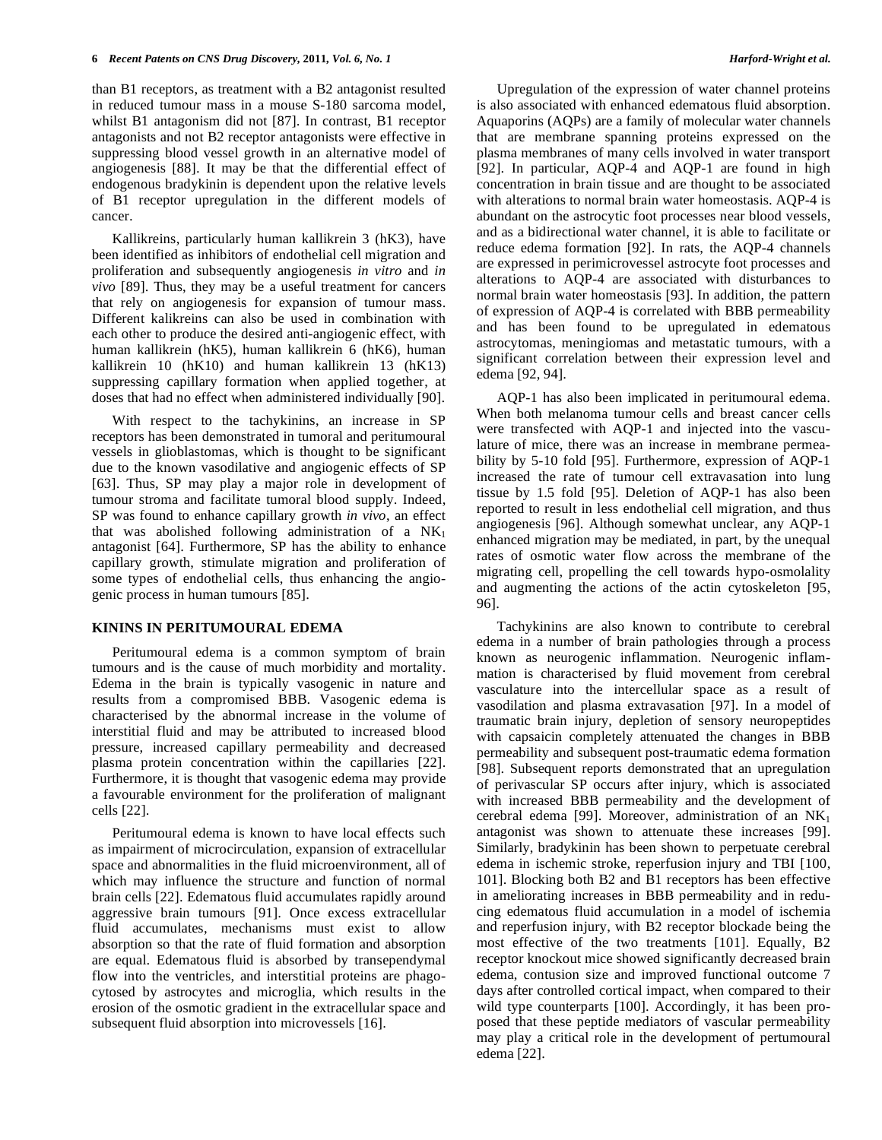than B1 receptors, as treatment with a B2 antagonist resulted in reduced tumour mass in a mouse S-180 sarcoma model, whilst B1 antagonism did not [87]. In contrast, B1 receptor antagonists and not B2 receptor antagonists were effective in suppressing blood vessel growth in an alternative model of angiogenesis [88]. It may be that the differential effect of endogenous bradykinin is dependent upon the relative levels of B1 receptor upregulation in the different models of cancer.

 Kallikreins, particularly human kallikrein 3 (hK3), have been identified as inhibitors of endothelial cell migration and proliferation and subsequently angiogenesis *in vitro* and *in vivo* [89]. Thus, they may be a useful treatment for cancers that rely on angiogenesis for expansion of tumour mass. Different kalikreins can also be used in combination with each other to produce the desired anti-angiogenic effect, with human kallikrein (hK5), human kallikrein 6 (hK6), human kallikrein 10 (hK10) and human kallikrein 13 (hK13) suppressing capillary formation when applied together, at doses that had no effect when administered individually [90].

 With respect to the tachykinins, an increase in SP receptors has been demonstrated in tumoral and peritumoural vessels in glioblastomas, which is thought to be significant due to the known vasodilative and angiogenic effects of SP [63]. Thus, SP may play a major role in development of tumour stroma and facilitate tumoral blood supply. Indeed, SP was found to enhance capillary growth *in vivo*, an effect that was abolished following administration of a  $NK<sub>1</sub>$ antagonist [64]. Furthermore, SP has the ability to enhance capillary growth, stimulate migration and proliferation of some types of endothelial cells, thus enhancing the angiogenic process in human tumours [85].

## **KININS IN PERITUMOURAL EDEMA**

 Peritumoural edema is a common symptom of brain tumours and is the cause of much morbidity and mortality. Edema in the brain is typically vasogenic in nature and results from a compromised BBB. Vasogenic edema is characterised by the abnormal increase in the volume of interstitial fluid and may be attributed to increased blood pressure, increased capillary permeability and decreased plasma protein concentration within the capillaries [22]. Furthermore, it is thought that vasogenic edema may provide a favourable environment for the proliferation of malignant cells [22].

 Peritumoural edema is known to have local effects such as impairment of microcirculation, expansion of extracellular space and abnormalities in the fluid microenvironment, all of which may influence the structure and function of normal brain cells [22]. Edematous fluid accumulates rapidly around aggressive brain tumours [91]. Once excess extracellular fluid accumulates, mechanisms must exist to allow absorption so that the rate of fluid formation and absorption are equal. Edematous fluid is absorbed by transependymal flow into the ventricles, and interstitial proteins are phagocytosed by astrocytes and microglia, which results in the erosion of the osmotic gradient in the extracellular space and subsequent fluid absorption into microvessels [16].

 Upregulation of the expression of water channel proteins is also associated with enhanced edematous fluid absorption. Aquaporins (AQPs) are a family of molecular water channels that are membrane spanning proteins expressed on the plasma membranes of many cells involved in water transport [92]. In particular, AQP-4 and AQP-1 are found in high concentration in brain tissue and are thought to be associated with alterations to normal brain water homeostasis. AQP-4 is abundant on the astrocytic foot processes near blood vessels, and as a bidirectional water channel, it is able to facilitate or reduce edema formation [92]. In rats, the AQP-4 channels are expressed in perimicrovessel astrocyte foot processes and alterations to AQP-4 are associated with disturbances to normal brain water homeostasis [93]. In addition, the pattern of expression of AQP-4 is correlated with BBB permeability and has been found to be upregulated in edematous astrocytomas, meningiomas and metastatic tumours, with a significant correlation between their expression level and edema [92, 94].

 AQP-1 has also been implicated in peritumoural edema. When both melanoma tumour cells and breast cancer cells were transfected with AQP-1 and injected into the vasculature of mice, there was an increase in membrane permeability by 5-10 fold [95]. Furthermore, expression of AQP-1 increased the rate of tumour cell extravasation into lung tissue by 1.5 fold [95]. Deletion of AQP-1 has also been reported to result in less endothelial cell migration, and thus angiogenesis [96]. Although somewhat unclear, any AQP-1 enhanced migration may be mediated, in part, by the unequal rates of osmotic water flow across the membrane of the migrating cell, propelling the cell towards hypo-osmolality and augmenting the actions of the actin cytoskeleton [95, 96].

 Tachykinins are also known to contribute to cerebral edema in a number of brain pathologies through a process known as neurogenic inflammation. Neurogenic inflammation is characterised by fluid movement from cerebral vasculature into the intercellular space as a result of vasodilation and plasma extravasation [97]. In a model of traumatic brain injury, depletion of sensory neuropeptides with capsaicin completely attenuated the changes in BBB permeability and subsequent post-traumatic edema formation [98]. Subsequent reports demonstrated that an upregulation of perivascular SP occurs after injury, which is associated with increased BBB permeability and the development of cerebral edema [99]. Moreover, administration of an  $NK<sub>1</sub>$ antagonist was shown to attenuate these increases [99]. Similarly, bradykinin has been shown to perpetuate cerebral edema in ischemic stroke, reperfusion injury and TBI [100, 101]. Blocking both B2 and B1 receptors has been effective in ameliorating increases in BBB permeability and in reducing edematous fluid accumulation in a model of ischemia and reperfusion injury, with B2 receptor blockade being the most effective of the two treatments [101]. Equally, B2 receptor knockout mice showed significantly decreased brain edema, contusion size and improved functional outcome 7 days after controlled cortical impact, when compared to their wild type counterparts [100]. Accordingly, it has been proposed that these peptide mediators of vascular permeability may play a critical role in the development of pertumoural edema [22].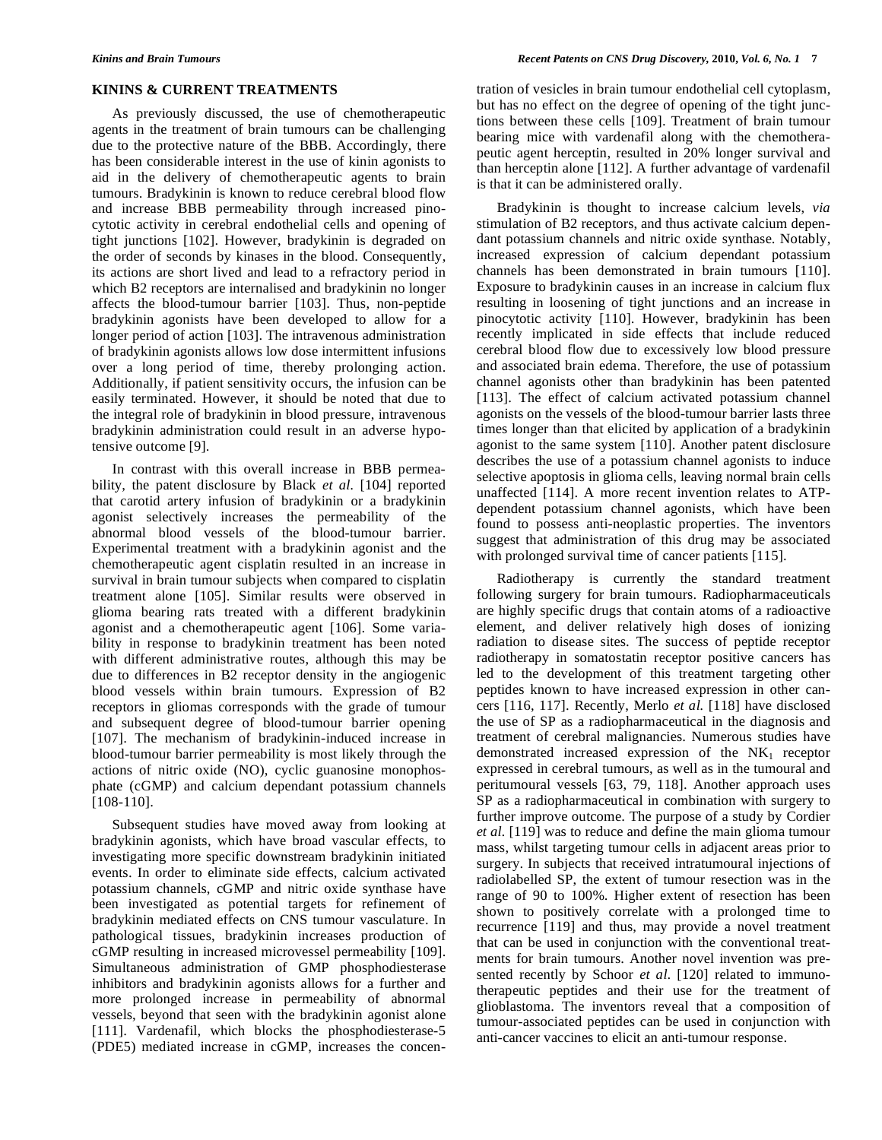# **KININS & CURRENT TREATMENTS**

 As previously discussed, the use of chemotherapeutic agents in the treatment of brain tumours can be challenging due to the protective nature of the BBB. Accordingly, there has been considerable interest in the use of kinin agonists to aid in the delivery of chemotherapeutic agents to brain tumours. Bradykinin is known to reduce cerebral blood flow and increase BBB permeability through increased pinocytotic activity in cerebral endothelial cells and opening of tight junctions [102]. However, bradykinin is degraded on the order of seconds by kinases in the blood. Consequently, its actions are short lived and lead to a refractory period in which B2 receptors are internalised and bradykinin no longer affects the blood-tumour barrier [103]. Thus, non-peptide bradykinin agonists have been developed to allow for a longer period of action [103]. The intravenous administration of bradykinin agonists allows low dose intermittent infusions over a long period of time, thereby prolonging action. Additionally, if patient sensitivity occurs, the infusion can be easily terminated. However, it should be noted that due to the integral role of bradykinin in blood pressure, intravenous bradykinin administration could result in an adverse hypotensive outcome [9].

 In contrast with this overall increase in BBB permeability, the patent disclosure by Black *et al.* [104] reported that carotid artery infusion of bradykinin or a bradykinin agonist selectively increases the permeability of the abnormal blood vessels of the blood-tumour barrier. Experimental treatment with a bradykinin agonist and the chemotherapeutic agent cisplatin resulted in an increase in survival in brain tumour subjects when compared to cisplatin treatment alone [105]. Similar results were observed in glioma bearing rats treated with a different bradykinin agonist and a chemotherapeutic agent [106]. Some variability in response to bradykinin treatment has been noted with different administrative routes, although this may be due to differences in B2 receptor density in the angiogenic blood vessels within brain tumours. Expression of B2 receptors in gliomas corresponds with the grade of tumour and subsequent degree of blood-tumour barrier opening [107]. The mechanism of bradykinin-induced increase in blood-tumour barrier permeability is most likely through the actions of nitric oxide (NO), cyclic guanosine monophosphate (cGMP) and calcium dependant potassium channels [108-110].

 Subsequent studies have moved away from looking at bradykinin agonists, which have broad vascular effects, to investigating more specific downstream bradykinin initiated events. In order to eliminate side effects, calcium activated potassium channels, cGMP and nitric oxide synthase have been investigated as potential targets for refinement of bradykinin mediated effects on CNS tumour vasculature. In pathological tissues, bradykinin increases production of cGMP resulting in increased microvessel permeability [109]. Simultaneous administration of GMP phosphodiesterase inhibitors and bradykinin agonists allows for a further and more prolonged increase in permeability of abnormal vessels, beyond that seen with the bradykinin agonist alone [111]. Vardenafil, which blocks the phosphodiesterase-5 (PDE5) mediated increase in cGMP, increases the concentration of vesicles in brain tumour endothelial cell cytoplasm, but has no effect on the degree of opening of the tight junctions between these cells [109]. Treatment of brain tumour bearing mice with vardenafil along with the chemotherapeutic agent herceptin, resulted in 20% longer survival and than herceptin alone [112]. A further advantage of vardenafil is that it can be administered orally.

 Bradykinin is thought to increase calcium levels, *via* stimulation of B2 receptors, and thus activate calcium dependant potassium channels and nitric oxide synthase. Notably, increased expression of calcium dependant potassium channels has been demonstrated in brain tumours [110]. Exposure to bradykinin causes in an increase in calcium flux resulting in loosening of tight junctions and an increase in pinocytotic activity [110]. However, bradykinin has been recently implicated in side effects that include reduced cerebral blood flow due to excessively low blood pressure and associated brain edema. Therefore, the use of potassium channel agonists other than bradykinin has been patented [113]. The effect of calcium activated potassium channel agonists on the vessels of the blood-tumour barrier lasts three times longer than that elicited by application of a bradykinin agonist to the same system [110]. Another patent disclosure describes the use of a potassium channel agonists to induce selective apoptosis in glioma cells, leaving normal brain cells unaffected [114]. A more recent invention relates to ATPdependent potassium channel agonists, which have been found to possess anti-neoplastic properties. The inventors suggest that administration of this drug may be associated with prolonged survival time of cancer patients [115].

 Radiotherapy is currently the standard treatment following surgery for brain tumours. Radiopharmaceuticals are highly specific drugs that contain atoms of a radioactive element, and deliver relatively high doses of ionizing radiation to disease sites. The success of peptide receptor radiotherapy in somatostatin receptor positive cancers has led to the development of this treatment targeting other peptides known to have increased expression in other cancers [116, 117]. Recently, Merlo *et al.* [118] have disclosed the use of SP as a radiopharmaceutical in the diagnosis and treatment of cerebral malignancies. Numerous studies have demonstrated increased expression of the NK1 receptor expressed in cerebral tumours, as well as in the tumoural and peritumoural vessels [63, 79, 118]. Another approach uses SP as a radiopharmaceutical in combination with surgery to further improve outcome. The purpose of a study by Cordier *et al.* [119] was to reduce and define the main glioma tumour mass, whilst targeting tumour cells in adjacent areas prior to surgery. In subjects that received intratumoural injections of radiolabelled SP, the extent of tumour resection was in the range of 90 to 100%. Higher extent of resection has been shown to positively correlate with a prolonged time to recurrence [119] and thus, may provide a novel treatment that can be used in conjunction with the conventional treatments for brain tumours. Another novel invention was presented recently by Schoor *et al*. [120] related to immunotherapeutic peptides and their use for the treatment of glioblastoma. The inventors reveal that a composition of tumour-associated peptides can be used in conjunction with anti-cancer vaccines to elicit an anti-tumour response.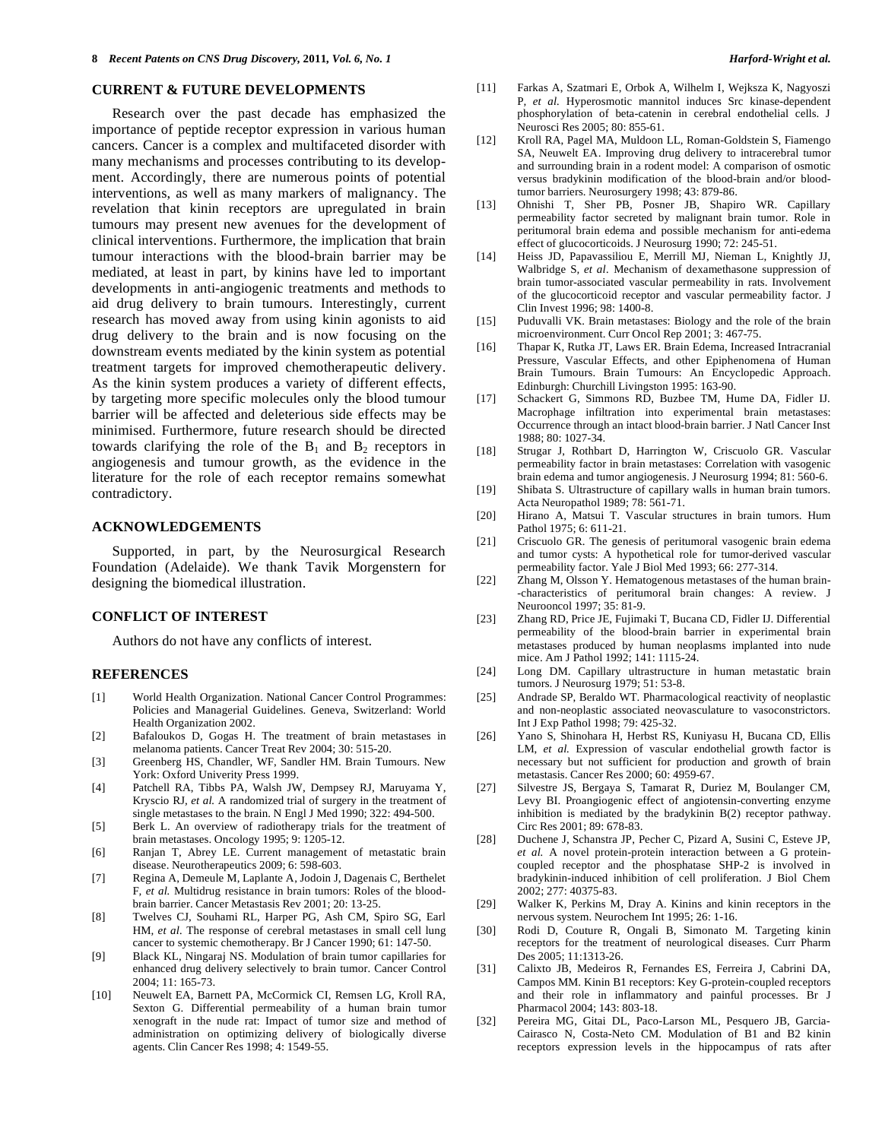## **CURRENT & FUTURE DEVELOPMENTS**

 Research over the past decade has emphasized the importance of peptide receptor expression in various human cancers. Cancer is a complex and multifaceted disorder with many mechanisms and processes contributing to its development. Accordingly, there are numerous points of potential interventions, as well as many markers of malignancy. The revelation that kinin receptors are upregulated in brain tumours may present new avenues for the development of clinical interventions. Furthermore, the implication that brain tumour interactions with the blood-brain barrier may be mediated, at least in part, by kinins have led to important developments in anti-angiogenic treatments and methods to aid drug delivery to brain tumours. Interestingly, current research has moved away from using kinin agonists to aid drug delivery to the brain and is now focusing on the downstream events mediated by the kinin system as potential treatment targets for improved chemotherapeutic delivery. As the kinin system produces a variety of different effects, by targeting more specific molecules only the blood tumour barrier will be affected and deleterious side effects may be minimised. Furthermore, future research should be directed towards clarifying the role of the  $B_1$  and  $B_2$  receptors in angiogenesis and tumour growth, as the evidence in the literature for the role of each receptor remains somewhat contradictory.

### **ACKNOWLEDGEMENTS**

 Supported, in part, by the Neurosurgical Research Foundation (Adelaide). We thank Tavik Morgenstern for designing the biomedical illustration.

# **CONFLICT OF INTEREST**

Authors do not have any conflicts of interest.

#### **REFERENCES**

- [1] World Health Organization. National Cancer Control Programmes: Policies and Managerial Guidelines. Geneva, Switzerland: World Health Organization 2002.
- [2] Bafaloukos D, Gogas H. The treatment of brain metastases in melanoma patients. Cancer Treat Rev 2004; 30: 515-20.
- [3] Greenberg HS, Chandler, WF, Sandler HM. Brain Tumours. New York: Oxford Univerity Press 1999.
- [4] Patchell RA, Tibbs PA, Walsh JW, Dempsey RJ, Maruyama Y, Kryscio RJ*, et al.* A randomized trial of surgery in the treatment of single metastases to the brain. N Engl J Med 1990; 322: 494-500.
- [5] Berk L. An overview of radiotherapy trials for the treatment of brain metastases. Oncology 1995; 9: 1205-12.
- [6] Ranjan T, Abrey LE. Current management of metastatic brain disease. Neurotherapeutics 2009; 6: 598-603.
- [7] Regina A, Demeule M, Laplante A, Jodoin J, Dagenais C, Berthelet F*, et al.* Multidrug resistance in brain tumors: Roles of the bloodbrain barrier. Cancer Metastasis Rev 2001; 20: 13-25.
- [8] Twelves CJ, Souhami RL, Harper PG, Ash CM, Spiro SG, Earl HM*, et al.* The response of cerebral metastases in small cell lung cancer to systemic chemotherapy. Br J Cancer 1990; 61: 147-50.
- [9] Black KL, Ningaraj NS. Modulation of brain tumor capillaries for enhanced drug delivery selectively to brain tumor. Cancer Control 2004; 11: 165-73.
- [10] Neuwelt EA, Barnett PA, McCormick CI, Remsen LG, Kroll RA, Sexton G. Differential permeability of a human brain tumor xenograft in the nude rat: Impact of tumor size and method of administration on optimizing delivery of biologically diverse agents. Clin Cancer Res 1998; 4: 1549-55.
- [11] Farkas A, Szatmari E, Orbok A, Wilhelm I, Wejksza K, Nagyoszi P*, et al.* Hyperosmotic mannitol induces Src kinase-dependent phosphorylation of beta-catenin in cerebral endothelial cells. J Neurosci Res 2005; 80: 855-61.
- [12] Kroll RA, Pagel MA, Muldoon LL, Roman-Goldstein S, Fiamengo SA, Neuwelt EA. Improving drug delivery to intracerebral tumor and surrounding brain in a rodent model: A comparison of osmotic versus bradykinin modification of the blood-brain and/or bloodtumor barriers. Neurosurgery 1998; 43: 879-86.
- [13] Ohnishi T, Sher PB, Posner JB, Shapiro WR. Capillary permeability factor secreted by malignant brain tumor. Role in peritumoral brain edema and possible mechanism for anti-edema effect of glucocorticoids. J Neurosurg 1990; 72: 245-51.
- [14] Heiss JD, Papavassiliou E, Merrill MJ, Nieman L, Knightly JJ, Walbridge S*, et al.* Mechanism of dexamethasone suppression of brain tumor-associated vascular permeability in rats. Involvement of the glucocorticoid receptor and vascular permeability factor. J Clin Invest 1996; 98: 1400-8.
- [15] Puduvalli VK. Brain metastases: Biology and the role of the brain microenvironment. Curr Oncol Rep 2001; 3: 467-75.
- [16] Thapar K, Rutka JT, Laws ER. Brain Edema, Increased Intracranial Pressure, Vascular Effects, and other Epiphenomena of Human Brain Tumours. Brain Tumours: An Encyclopedic Approach. Edinburgh: Churchill Livingston 1995: 163-90.
- [17] Schackert G, Simmons RD, Buzbee TM, Hume DA, Fidler IJ. Macrophage infiltration into experimental brain metastases: Occurrence through an intact blood-brain barrier. J Natl Cancer Inst 1988; 80: 1027-34.
- [18] Strugar J, Rothbart D, Harrington W, Criscuolo GR. Vascular permeability factor in brain metastases: Correlation with vasogenic brain edema and tumor angiogenesis. J Neurosurg 1994; 81: 560-6.
- [19] Shibata S. Ultrastructure of capillary walls in human brain tumors. Acta Neuropathol 1989; 78: 561-71.
- [20] Hirano A, Matsui T. Vascular structures in brain tumors. Hum Pathol 1975; 6: 611-21.
- [21] Criscuolo GR. The genesis of peritumoral vasogenic brain edema and tumor cysts: A hypothetical role for tumor-derived vascular permeability factor. Yale J Biol Med 1993; 66: 277-314.
- [22] Zhang M, Olsson Y. Hematogenous metastases of the human brain- -characteristics of peritumoral brain changes: A review. J Neurooncol 1997; 35: 81-9.
- [23] Zhang RD, Price JE, Fujimaki T, Bucana CD, Fidler IJ. Differential permeability of the blood-brain barrier in experimental brain metastases produced by human neoplasms implanted into nude mice. Am J Pathol 1992; 141: 1115-24.
- [24] Long DM. Capillary ultrastructure in human metastatic brain tumors. J Neurosurg 1979; 51: 53-8.
- [25] Andrade SP, Beraldo WT. Pharmacological reactivity of neoplastic and non-neoplastic associated neovasculature to vasoconstrictors. Int J Exp Pathol 1998; 79: 425-32.
- [26] Yano S, Shinohara H, Herbst RS, Kuniyasu H, Bucana CD, Ellis LM, *et al.* Expression of vascular endothelial growth factor is necessary but not sufficient for production and growth of brain metastasis. Cancer Res 2000; 60: 4959-67.
- [27] Silvestre JS, Bergaya S, Tamarat R, Duriez M, Boulanger CM, Levy BI. Proangiogenic effect of angiotensin-converting enzyme inhibition is mediated by the bradykinin B(2) receptor pathway. Circ Res 2001; 89: 678-83.
- [28] Duchene J, Schanstra JP, Pecher C, Pizard A, Susini C, Esteve JP, *et al.* A novel protein-protein interaction between a G proteincoupled receptor and the phosphatase SHP-2 is involved in bradykinin-induced inhibition of cell proliferation. J Biol Chem 2002; 277: 40375-83.
- [29] Walker K, Perkins M, Dray A. Kinins and kinin receptors in the nervous system. Neurochem Int 1995; 26: 1-16.
- [30] Rodi D, Couture R, Ongali B, Simonato M. Targeting kinin receptors for the treatment of neurological diseases. Curr Pharm Des 2005; 11:1313-26.
- [31] Calixto JB, Medeiros R, Fernandes ES, Ferreira J, Cabrini DA, Campos MM. Kinin B1 receptors: Key G-protein-coupled receptors and their role in inflammatory and painful processes. Br J Pharmacol 2004; 143: 803-18.
- [32] Pereira MG, Gitai DL, Paco-Larson ML, Pesquero JB, Garcia-Cairasco N, Costa-Neto CM. Modulation of B1 and B2 kinin receptors expression levels in the hippocampus of rats after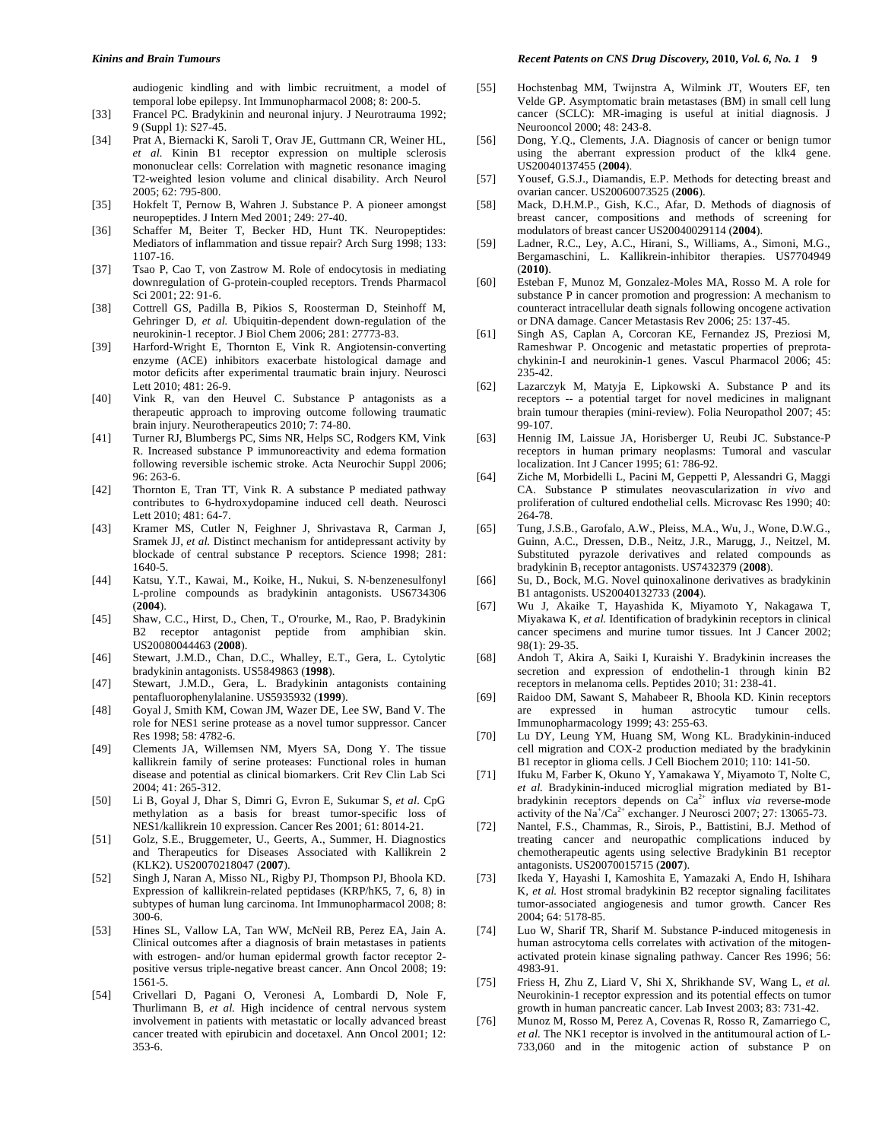audiogenic kindling and with limbic recruitment, a model of temporal lobe epilepsy. Int Immunopharmacol 2008; 8: 200-5.

- [33] Francel PC. Bradykinin and neuronal injury. J Neurotrauma 1992; 9 (Suppl 1): S27-45.
- [34] Prat A, Biernacki K, Saroli T, Orav JE, Guttmann CR, Weiner HL, *et al.* Kinin B1 receptor expression on multiple sclerosis mononuclear cells: Correlation with magnetic resonance imaging T2-weighted lesion volume and clinical disability. Arch Neurol 2005; 62: 795-800.
- [35] Hokfelt T, Pernow B, Wahren J. Substance P. A pioneer amongst neuropeptides. J Intern Med 2001; 249: 27-40.
- [36] Schaffer M, Beiter T, Becker HD, Hunt TK. Neuropeptides: Mediators of inflammation and tissue repair? Arch Surg 1998; 133: 1107-16.
- [37] Tsao P, Cao T, von Zastrow M. Role of endocytosis in mediating downregulation of G-protein-coupled receptors. Trends Pharmacol Sci 2001; 22: 91-6.
- [38] Cottrell GS, Padilla B, Pikios S, Roosterman D, Steinhoff M, Gehringer D*, et al.* Ubiquitin-dependent down-regulation of the neurokinin-1 receptor. J Biol Chem 2006; 281: 27773-83.
- [39] Harford-Wright E, Thornton E, Vink R. Angiotensin-converting enzyme (ACE) inhibitors exacerbate histological damage and motor deficits after experimental traumatic brain injury. Neurosci Lett 2010; 481: 26-9.
- [40] Vink R, van den Heuvel C. Substance P antagonists as a therapeutic approach to improving outcome following traumatic brain injury. Neurotherapeutics 2010; 7: 74-80.
- [41] Turner RJ, Blumbergs PC, Sims NR, Helps SC, Rodgers KM, Vink R. Increased substance P immunoreactivity and edema formation following reversible ischemic stroke. Acta Neurochir Suppl 2006;  $96:263-6$
- [42] Thornton E, Tran TT, Vink R. A substance P mediated pathway contributes to 6-hydroxydopamine induced cell death. Neurosci Lett 2010; 481: 64-7.
- [43] Kramer MS, Cutler N, Feighner J, Shrivastava R, Carman J, Sramek JJ*, et al.* Distinct mechanism for antidepressant activity by blockade of central substance P receptors. Science 1998; 281: 1640-5.
- [44] Katsu, Y.T., Kawai, M., Koike, H., Nukui, S. N-benzenesulfonyl L-proline compounds as bradykinin antagonists. US6734306 (**2004**).
- [45] Shaw, C.C., Hirst, D., Chen, T., O'rourke, M., Rao, P. Bradykinin B2 receptor antagonist peptide from amphibian skin. US20080044463 (**2008**).
- [46] Stewart, J.M.D., Chan, D.C., Whalley, E.T., Gera, L. Cytolytic bradykinin antagonists. US5849863 (**1998**).
- [47] Stewart, J.M.D., Gera, L. Bradykinin antagonists containing pentafluorophenylalanine. US5935932 (**1999**).
- [48] Goyal J, Smith KM, Cowan JM, Wazer DE, Lee SW, Band V. The role for NES1 serine protease as a novel tumor suppressor. Cancer Res 1998; 58: 4782-6.
- [49] Clements JA, Willemsen NM, Myers SA, Dong Y. The tissue kallikrein family of serine proteases: Functional roles in human disease and potential as clinical biomarkers. Crit Rev Clin Lab Sci 2004; 41: 265-312.
- [50] Li B, Goyal J, Dhar S, Dimri G, Evron E, Sukumar S*, et al.* CpG methylation as a basis for breast tumor-specific loss of NES1/kallikrein 10 expression. Cancer Res 2001; 61: 8014-21.
- [51] Golz, S.E., Bruggemeter, U., Geerts, A., Summer, H. Diagnostics and Therapeutics for Diseases Associated with Kallikrein 2 (KLK2). US20070218047 (**2007**).
- [52] Singh J, Naran A, Misso NL, Rigby PJ, Thompson PJ, Bhoola KD. Expression of kallikrein-related peptidases (KRP/hK5, 7, 6, 8) in subtypes of human lung carcinoma. Int Immunopharmacol 2008; 8: 300-6.
- [53] Hines SL, Vallow LA, Tan WW, McNeil RB, Perez EA, Jain A. Clinical outcomes after a diagnosis of brain metastases in patients with estrogen- and/or human epidermal growth factor receptor 2 positive versus triple-negative breast cancer. Ann Oncol 2008; 19: 1561-5.
- [54] Crivellari D, Pagani O, Veronesi A, Lombardi D, Nole F, Thurlimann B*, et al.* High incidence of central nervous system involvement in patients with metastatic or locally advanced breast cancer treated with epirubicin and docetaxel. Ann Oncol 2001; 12: 353-6.
- [55] Hochstenbag MM, Twijnstra A, Wilmink JT, Wouters EF, ten Velde GP. Asymptomatic brain metastases (BM) in small cell lung cancer (SCLC): MR-imaging is useful at initial diagnosis. J Neurooncol 2000; 48: 243-8.
- [56] Dong, Y.Q., Clements, J.A. Diagnosis of cancer or benign tumor using the aberrant expression product of the klk4 gene. US20040137455 (**2004**).
- [57] Yousef, G.S.J., Diamandis, E.P. Methods for detecting breast and ovarian cancer. US20060073525 (**2006**).
- [58] Mack, D.H.M.P., Gish, K.C., Afar, D. Methods of diagnosis of breast cancer, compositions and methods of screening for modulators of breast cancer US20040029114 (**2004**).
- [59] Ladner, R.C., Ley, A.C., Hirani, S., Williams, A., Simoni, M.G., Bergamaschini, L. Kallikrein-inhibitor therapies. US7704949 (**2010)**.
- [60] Esteban F, Munoz M, Gonzalez-Moles MA, Rosso M. A role for substance P in cancer promotion and progression: A mechanism to counteract intracellular death signals following oncogene activation or DNA damage. Cancer Metastasis Rev 2006; 25: 137-45.
- [61] Singh AS, Caplan A, Corcoran KE, Fernandez JS, Preziosi M, Rameshwar P. Oncogenic and metastatic properties of preprotachykinin-I and neurokinin-1 genes. Vascul Pharmacol 2006; 45: 235-42.
- [62] Lazarczyk M, Matyja E, Lipkowski A. Substance P and its receptors -- a potential target for novel medicines in malignant brain tumour therapies (mini-review). Folia Neuropathol 2007; 45: 99-107.
- [63] Hennig IM, Laissue JA, Horisberger U, Reubi JC. Substance-P receptors in human primary neoplasms: Tumoral and vascular localization. Int J Cancer 1995; 61: 786-92.
- [64] Ziche M, Morbidelli L, Pacini M, Geppetti P, Alessandri G, Maggi CA. Substance P stimulates neovascularization *in vivo* and proliferation of cultured endothelial cells. Microvasc Res 1990; 40: 264-78.
- [65] Tung, J.S.B., Garofalo, A.W., Pleiss, M.A., Wu, J., Wone, D.W.G., Guinn, A.C., Dressen, D.B., Neitz, J.R., Marugg, J., Neitzel, M. Substituted pyrazole derivatives and related compounds as bradykinin B1 receptor antagonists. US7432379 (**2008**).
- [66] Su, D., Bock, M.G. Novel quinoxalinone derivatives as bradykinin B1 antagonists. US20040132733 (**2004**).
- [67] Wu J, Akaike T, Hayashida K, Miyamoto Y, Nakagawa T, Miyakawa K, *et al.* Identification of bradykinin receptors in clinical cancer specimens and murine tumor tissues. Int J Cancer 2002; 98(1): 29-35.
- [68] Andoh T, Akira A, Saiki I, Kuraishi Y. Bradykinin increases the secretion and expression of endothelin-1 through kinin B2 receptors in melanoma cells. Peptides 2010; 31: 238-41.
- [69] Raidoo DM, Sawant S, Mahabeer R, Bhoola KD. Kinin receptors are expressed in human astrocytic tumour cells. Immunopharmacology 1999; 43: 255-63.
- [70] Lu DY, Leung YM, Huang SM, Wong KL. Bradykinin-induced cell migration and COX-2 production mediated by the bradykinin B1 receptor in glioma cells. J Cell Biochem 2010; 110: 141-50.
- [71] Ifuku M, Farber K, Okuno Y, Yamakawa Y, Miyamoto T, Nolte C, *et al.* Bradykinin-induced microglial migration mediated by B1 bradykinin receptors depends on  $Ca^{2+}$  influx *via* reverse-mode activity of the  $N\hat{a}^{\dagger}/C a^{2+}$  exchanger. J Neurosci 2007; 27: 13065-73.
- [72] Nantel, F.S., Chammas, R., Sirois, P., Battistini, B.J. Method of treating cancer and neuropathic complications induced by chemotherapeutic agents using selective Bradykinin B1 receptor antagonists. US20070015715 (**2007**).
- [73] Ikeda Y, Hayashi I, Kamoshita E, Yamazaki A, Endo H, Ishihara K*, et al.* Host stromal bradykinin B2 receptor signaling facilitates tumor-associated angiogenesis and tumor growth. Cancer Res 2004; 64: 5178-85.
- [74] Luo W, Sharif TR, Sharif M. Substance P-induced mitogenesis in human astrocytoma cells correlates with activation of the mitogenactivated protein kinase signaling pathway. Cancer Res 1996; 56: 4983-91.
- [75] Friess H, Zhu Z, Liard V, Shi X, Shrikhande SV, Wang L*, et al.* Neurokinin-1 receptor expression and its potential effects on tumor growth in human pancreatic cancer. Lab Invest 2003; 83: 731-42.
- [76] Munoz M, Rosso M, Perez A, Covenas R, Rosso R, Zamarriego C, *et al.* The NK1 receptor is involved in the antitumoural action of L-733,060 and in the mitogenic action of substance P on